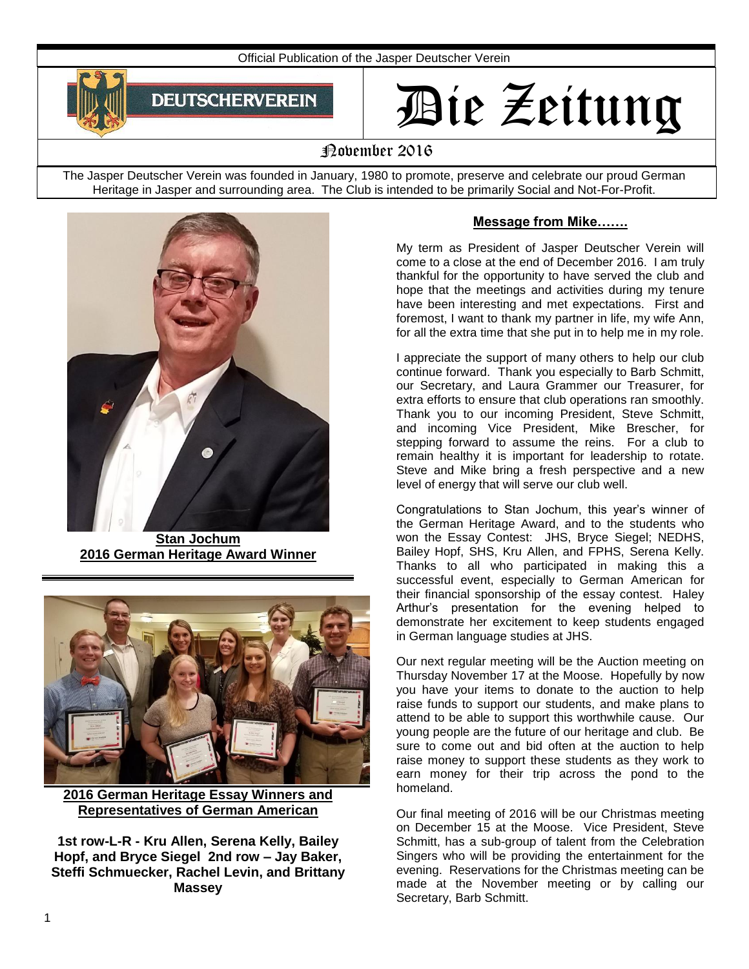

# Die Zeitung

## November 2016

The Jasper Deutscher Verein was founded in January, 1980 to promote, preserve and celebrate our proud German Heritage in Jasper and surrounding area. The Club is intended to be primarily Social and Not-For-Profit.



**Stan Jochum 2016 German Heritage Award Winner**



**2016 German Heritage Essay Winners and Representatives of German American** 

**1st row-L-R - Kru Allen, Serena Kelly, Bailey Hopf, and Bryce Siegel 2nd row – Jay Baker, Steffi Schmuecker, Rachel Levin, and Brittany Massey**

#### **Message from Mike…….**

My term as President of Jasper Deutscher Verein will come to a close at the end of December 2016. I am truly thankful for the opportunity to have served the club and hope that the meetings and activities during my tenure have been interesting and met expectations. First and foremost, I want to thank my partner in life, my wife Ann, for all the extra time that she put in to help me in my role.

I appreciate the support of many others to help our club continue forward. Thank you especially to Barb Schmitt, our Secretary, and Laura Grammer our Treasurer, for extra efforts to ensure that club operations ran smoothly. Thank you to our incoming President, Steve Schmitt, and incoming Vice President, Mike Brescher, for stepping forward to assume the reins. For a club to remain healthy it is important for leadership to rotate. Steve and Mike bring a fresh perspective and a new level of energy that will serve our club well.

Congratulations to Stan Jochum, this year's winner of the German Heritage Award, and to the students who won the Essay Contest: JHS, Bryce Siegel; NEDHS, Bailey Hopf, SHS, Kru Allen, and FPHS, Serena Kelly. Thanks to all who participated in making this a successful event, especially to German American for their financial sponsorship of the essay contest. Haley Arthur's presentation for the evening helped to demonstrate her excitement to keep students engaged in German language studies at JHS.

Our next regular meeting will be the Auction meeting on Thursday November 17 at the Moose. Hopefully by now you have your items to donate to the auction to help raise funds to support our students, and make plans to attend to be able to support this worthwhile cause. Our young people are the future of our heritage and club. Be sure to come out and bid often at the auction to help raise money to support these students as they work to earn money for their trip across the pond to the homeland.

Our final meeting of 2016 will be our Christmas meeting on December 15 at the Moose. Vice President, Steve Schmitt, has a sub-group of talent from the Celebration Singers who will be providing the entertainment for the evening. Reservations for the Christmas meeting can be made at the November meeting or by calling our Secretary, Barb Schmitt.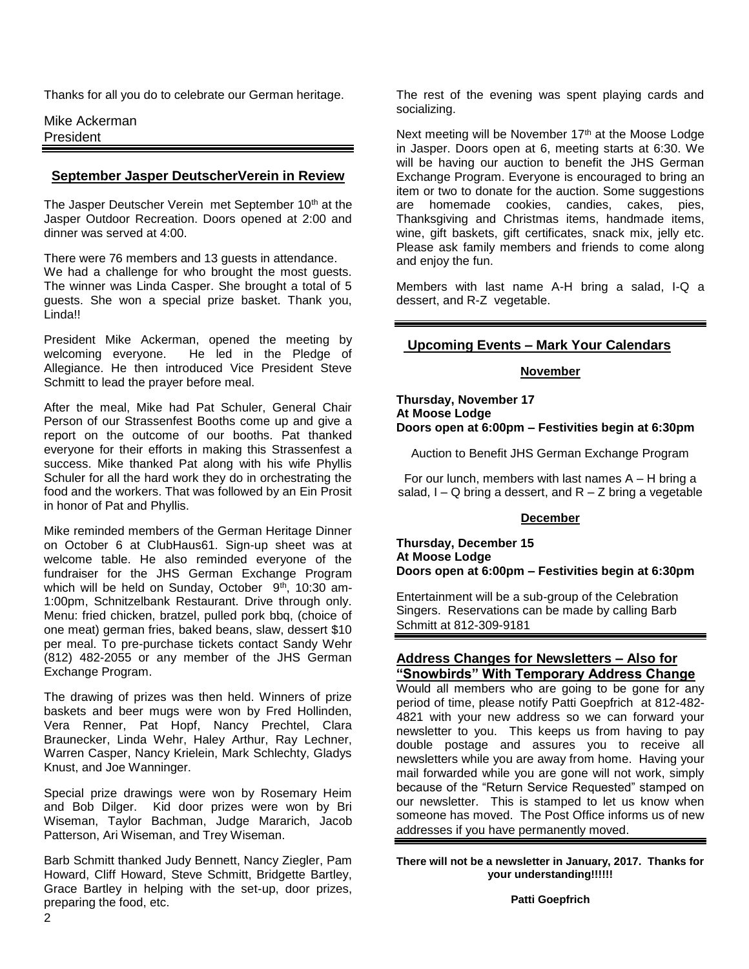Thanks for all you do to celebrate our German heritage.

Mike Ackerman President

#### **September Jasper DeutscherVerein in Review**

The Jasper Deutscher Verein met September 10<sup>th</sup> at the Jasper Outdoor Recreation. Doors opened at 2:00 and dinner was served at 4:00.

There were 76 members and 13 guests in attendance. We had a challenge for who brought the most guests. The winner was Linda Casper. She brought a total of 5 guests. She won a special prize basket. Thank you, Linda!!

President Mike Ackerman, opened the meeting by welcoming everyone. He led in the Pledge of Allegiance. He then introduced Vice President Steve Schmitt to lead the prayer before meal.

After the meal, Mike had Pat Schuler, General Chair Person of our Strassenfest Booths come up and give a report on the outcome of our booths. Pat thanked everyone for their efforts in making this Strassenfest a success. Mike thanked Pat along with his wife Phyllis Schuler for all the hard work they do in orchestrating the food and the workers. That was followed by an Ein Prosit in honor of Pat and Phyllis.

Mike reminded members of the German Heritage Dinner on October 6 at ClubHaus61. Sign-up sheet was at welcome table. He also reminded everyone of the fundraiser for the JHS German Exchange Program which will be held on Sunday, October 9<sup>th</sup>, 10:30 am-1:00pm, Schnitzelbank Restaurant. Drive through only. Menu: fried chicken, bratzel, pulled pork bbq, (choice of one meat) german fries, baked beans, slaw, dessert \$10 per meal. To pre-purchase tickets contact Sandy Wehr (812) 482-2055 or any member of the JHS German Exchange Program.

The drawing of prizes was then held. Winners of prize baskets and beer mugs were won by Fred Hollinden, Vera Renner, Pat Hopf, Nancy Prechtel, Clara Braunecker, Linda Wehr, Haley Arthur, Ray Lechner, Warren Casper, Nancy Krielein, Mark Schlechty, Gladys Knust, and Joe Wanninger.

Special prize drawings were won by Rosemary Heim and Bob Dilger. Kid door prizes were won by Bri Wiseman, Taylor Bachman, Judge Mararich, Jacob Patterson, Ari Wiseman, and Trey Wiseman.

Barb Schmitt thanked Judy Bennett, Nancy Ziegler, Pam Howard, Cliff Howard, Steve Schmitt, Bridgette Bartley, Grace Bartley in helping with the set-up, door prizes, preparing the food, etc.

The rest of the evening was spent playing cards and socializing.

Next meeting will be November 17<sup>th</sup> at the Moose Lodge in Jasper. Doors open at 6, meeting starts at 6:30. We will be having our auction to benefit the JHS German Exchange Program. Everyone is encouraged to bring an item or two to donate for the auction. Some suggestions are homemade cookies, candies, cakes, pies, Thanksgiving and Christmas items, handmade items, wine, gift baskets, gift certificates, snack mix, jelly etc. Please ask family members and friends to come along and enjoy the fun.

Members with last name A-H bring a salad, I-Q a dessert, and R-Z vegetable.

#### **Upcoming Events – Mark Your Calendars**

#### **November**

**Thursday, November 17 At Moose Lodge Doors open at 6:00pm – Festivities begin at 6:30pm**

Auction to Benefit JHS German Exchange Program

For our lunch, members with last names  $A - H$  bring a salad,  $I - Q$  bring a dessert, and  $R - Z$  bring a vegetable

#### **December**

**Thursday, December 15 At Moose Lodge Doors open at 6:00pm – Festivities begin at 6:30pm**

Entertainment will be a sub-group of the Celebration Singers. Reservations can be made by calling Barb Schmitt at 812-309-9181

#### **Address Changes for Newsletters – Also for "Snowbirds" With Temporary Address Change**

Would all members who are going to be gone for any period of time, please notify Patti Goepfrich at 812-482- 4821 with your new address so we can forward your newsletter to you. This keeps us from having to pay double postage and assures you to receive all newsletters while you are away from home. Having your mail forwarded while you are gone will not work, simply because of the "Return Service Requested" stamped on our newsletter. This is stamped to let us know when someone has moved. The Post Office informs us of new addresses if you have permanently moved.

**There will not be a newsletter in January, 2017. Thanks for your understanding!!!!!!**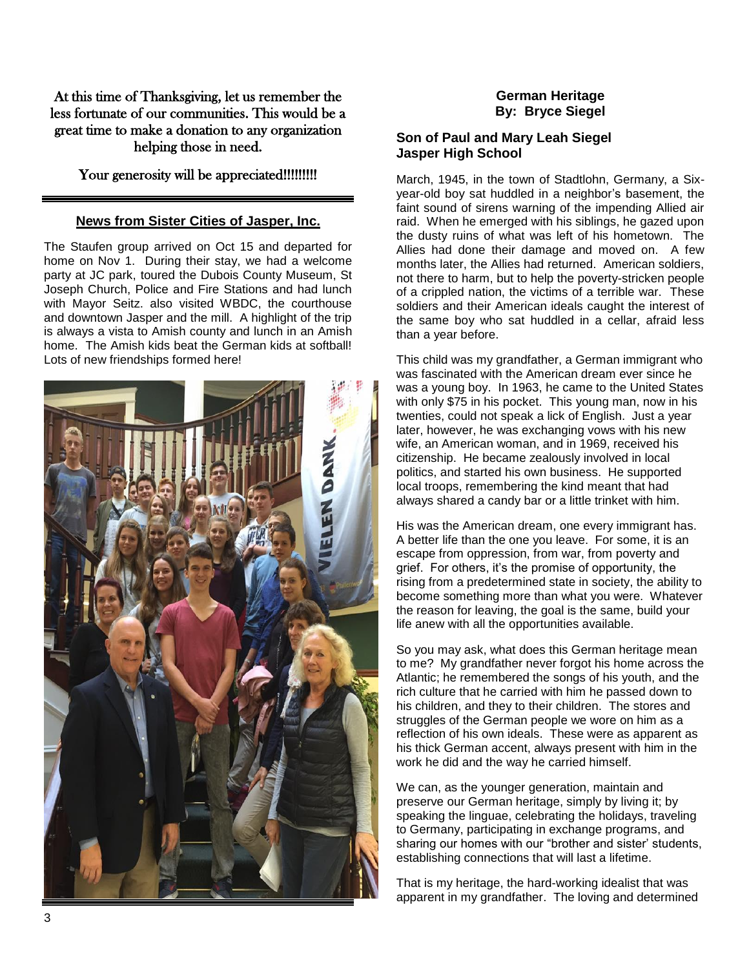At this time of Thanksgiving, let us remember the less fortunate of our communities. This would be a great time to make a donation to any organization helping those in need.

#### Your generosity will be appreciated!!!!!!!!!!

#### **News from Sister Cities of Jasper, Inc.**

The Staufen group arrived on Oct 15 and departed for home on Nov 1. During their stay, we had a welcome party at JC park, toured the Dubois County Museum, St Joseph Church, Police and Fire Stations and had lunch with Mayor Seitz. also visited WBDC, the courthouse and downtown Jasper and the mill. A highlight of the trip is always a vista to Amish county and lunch in an Amish home. The Amish kids beat the German kids at softball! Lots of new friendships formed here!



### **German Heritage By: Bryce Siegel**

#### **Son of Paul and Mary Leah Siegel Jasper High School**

March, 1945, in the town of Stadtlohn, Germany, a Sixyear-old boy sat huddled in a neighbor's basement, the faint sound of sirens warning of the impending Allied air raid. When he emerged with his siblings, he gazed upon the dusty ruins of what was left of his hometown. The Allies had done their damage and moved on. A few months later, the Allies had returned. American soldiers, not there to harm, but to help the poverty-stricken people of a crippled nation, the victims of a terrible war. These soldiers and their American ideals caught the interest of the same boy who sat huddled in a cellar, afraid less than a year before.

This child was my grandfather, a German immigrant who was fascinated with the American dream ever since he was a young boy. In 1963, he came to the United States with only \$75 in his pocket. This young man, now in his twenties, could not speak a lick of English. Just a year later, however, he was exchanging vows with his new wife, an American woman, and in 1969, received his citizenship. He became zealously involved in local politics, and started his own business. He supported local troops, remembering the kind meant that had always shared a candy bar or a little trinket with him.

His was the American dream, one every immigrant has. A better life than the one you leave. For some, it is an escape from oppression, from war, from poverty and grief. For others, it's the promise of opportunity, the rising from a predetermined state in society, the ability to become something more than what you were. Whatever the reason for leaving, the goal is the same, build your life anew with all the opportunities available.

So you may ask, what does this German heritage mean to me? My grandfather never forgot his home across the Atlantic; he remembered the songs of his youth, and the rich culture that he carried with him he passed down to his children, and they to their children. The stores and struggles of the German people we wore on him as a reflection of his own ideals. These were as apparent as his thick German accent, always present with him in the work he did and the way he carried himself.

We can, as the younger generation, maintain and preserve our German heritage, simply by living it; by speaking the linguae, celebrating the holidays, traveling to Germany, participating in exchange programs, and sharing our homes with our "brother and sister' students, establishing connections that will last a lifetime.

That is my heritage, the hard-working idealist that was apparent in my grandfather. The loving and determined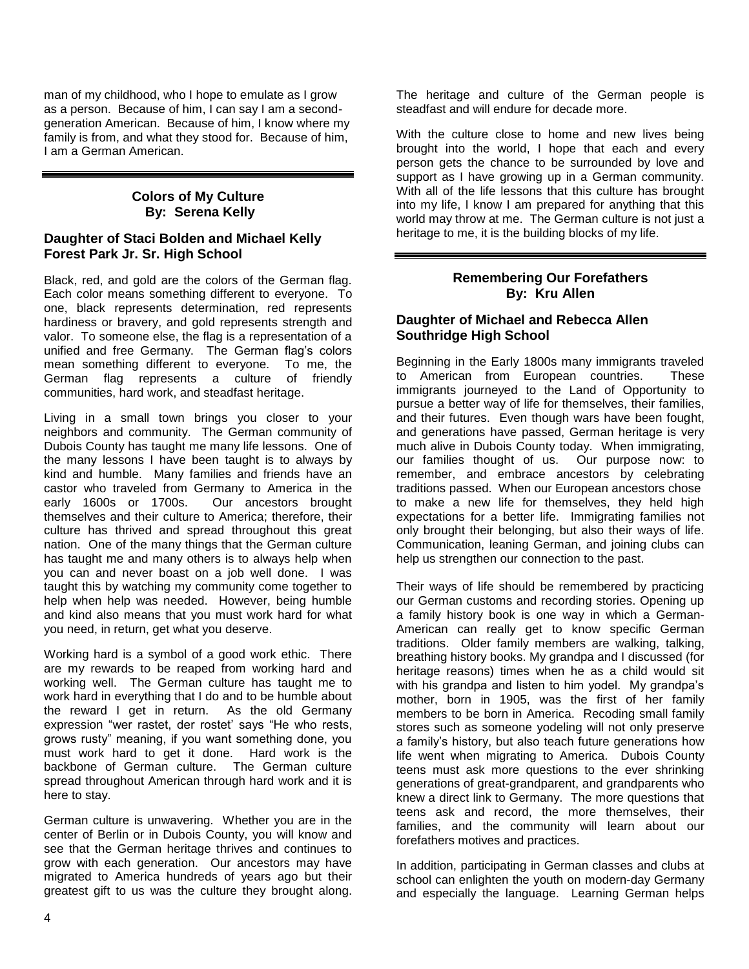man of my childhood, who I hope to emulate as I grow as a person. Because of him, I can say I am a secondgeneration American. Because of him, I know where my family is from, and what they stood for. Because of him, I am a German American.

#### **Colors of My Culture By: Serena Kelly**

#### **Daughter of Staci Bolden and Michael Kelly Forest Park Jr. Sr. High School**

Black, red, and gold are the colors of the German flag. Each color means something different to everyone. To one, black represents determination, red represents hardiness or bravery, and gold represents strength and valor. To someone else, the flag is a representation of a unified and free Germany. The German flag's colors mean something different to everyone. To me, the German flag represents a culture of friendly communities, hard work, and steadfast heritage.

Living in a small town brings you closer to your neighbors and community. The German community of Dubois County has taught me many life lessons. One of the many lessons I have been taught is to always by kind and humble. Many families and friends have an castor who traveled from Germany to America in the early 1600s or 1700s. Our ancestors brought themselves and their culture to America; therefore, their culture has thrived and spread throughout this great nation. One of the many things that the German culture has taught me and many others is to always help when you can and never boast on a job well done. I was taught this by watching my community come together to help when help was needed. However, being humble and kind also means that you must work hard for what you need, in return, get what you deserve.

Working hard is a symbol of a good work ethic. There are my rewards to be reaped from working hard and working well. The German culture has taught me to work hard in everything that I do and to be humble about the reward I get in return. As the old Germany expression "wer rastet, der rostet' says "He who rests, grows rusty" meaning, if you want something done, you must work hard to get it done. Hard work is the backbone of German culture. The German culture spread throughout American through hard work and it is here to stay.

German culture is unwavering. Whether you are in the center of Berlin or in Dubois County, you will know and see that the German heritage thrives and continues to grow with each generation. Our ancestors may have migrated to America hundreds of years ago but their greatest gift to us was the culture they brought along.

The heritage and culture of the German people is steadfast and will endure for decade more.

With the culture close to home and new lives being brought into the world, I hope that each and every person gets the chance to be surrounded by love and support as I have growing up in a German community. With all of the life lessons that this culture has brought into my life, I know I am prepared for anything that this world may throw at me. The German culture is not just a heritage to me, it is the building blocks of my life.

### **Remembering Our Forefathers By: Kru Allen**

#### **Daughter of Michael and Rebecca Allen Southridge High School**

Beginning in the Early 1800s many immigrants traveled to American from European countries. These immigrants journeyed to the Land of Opportunity to pursue a better way of life for themselves, their families, and their futures. Even though wars have been fought, and generations have passed, German heritage is very much alive in Dubois County today. When immigrating, our families thought of us. Our purpose now: to remember, and embrace ancestors by celebrating traditions passed. When our European ancestors chose to make a new life for themselves, they held high expectations for a better life. Immigrating families not only brought their belonging, but also their ways of life. Communication, leaning German, and joining clubs can help us strengthen our connection to the past.

Their ways of life should be remembered by practicing our German customs and recording stories. Opening up a family history book is one way in which a German-American can really get to know specific German traditions. Older family members are walking, talking, breathing history books. My grandpa and I discussed (for heritage reasons) times when he as a child would sit with his grandpa and listen to him yodel. My grandpa's mother, born in 1905, was the first of her family members to be born in America. Recoding small family stores such as someone yodeling will not only preserve a family's history, but also teach future generations how life went when migrating to America. Dubois County teens must ask more questions to the ever shrinking generations of great-grandparent, and grandparents who knew a direct link to Germany. The more questions that teens ask and record, the more themselves, their families, and the community will learn about our forefathers motives and practices.

In addition, participating in German classes and clubs at school can enlighten the youth on modern-day Germany and especially the language. Learning German helps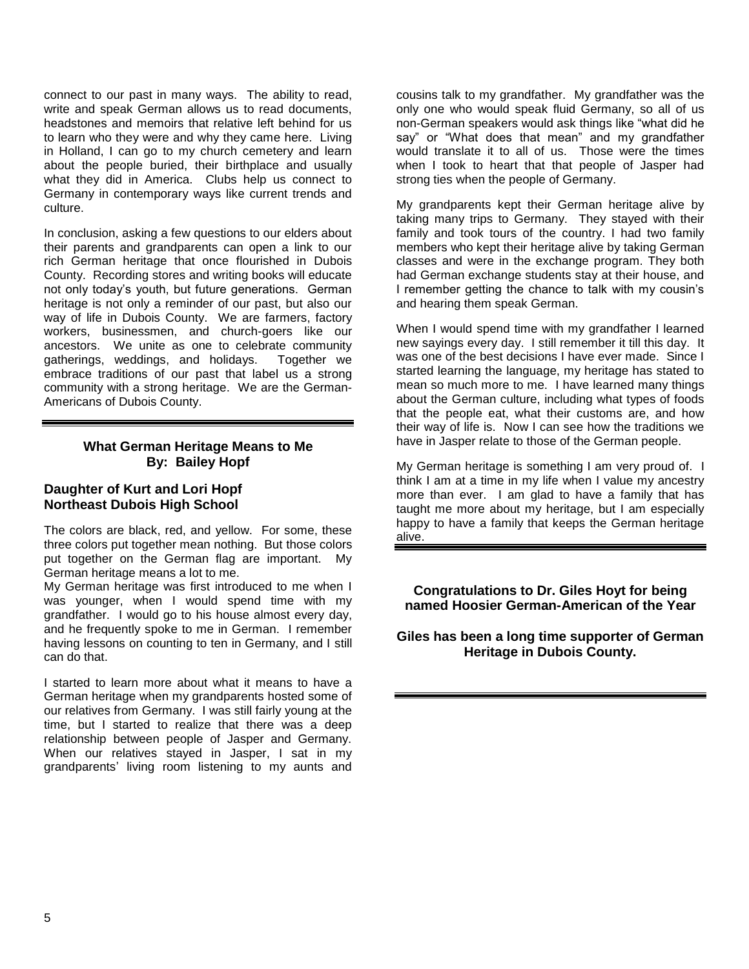connect to our past in many ways. The ability to read, write and speak German allows us to read documents, headstones and memoirs that relative left behind for us to learn who they were and why they came here. Living in Holland, I can go to my church cemetery and learn about the people buried, their birthplace and usually what they did in America. Clubs help us connect to Germany in contemporary ways like current trends and culture.

In conclusion, asking a few questions to our elders about their parents and grandparents can open a link to our rich German heritage that once flourished in Dubois County. Recording stores and writing books will educate not only today's youth, but future generations. German heritage is not only a reminder of our past, but also our way of life in Dubois County. We are farmers, factory workers, businessmen, and church-goers like our ancestors. We unite as one to celebrate community gatherings, weddings, and holidays. Together we embrace traditions of our past that label us a strong community with a strong heritage. We are the German-Americans of Dubois County.

#### **What German Heritage Means to Me By: Bailey Hopf**

#### **Daughter of Kurt and Lori Hopf Northeast Dubois High School**

The colors are black, red, and yellow. For some, these three colors put together mean nothing. But those colors put together on the German flag are important. My German heritage means a lot to me.

My German heritage was first introduced to me when I was younger, when I would spend time with my grandfather. I would go to his house almost every day, and he frequently spoke to me in German. I remember having lessons on counting to ten in Germany, and I still can do that.

I started to learn more about what it means to have a German heritage when my grandparents hosted some of our relatives from Germany. I was still fairly young at the time, but I started to realize that there was a deep relationship between people of Jasper and Germany. When our relatives stayed in Jasper, I sat in my grandparents' living room listening to my aunts and cousins talk to my grandfather. My grandfather was the only one who would speak fluid Germany, so all of us non-German speakers would ask things like "what did he say" or "What does that mean" and my grandfather would translate it to all of us. Those were the times when I took to heart that that people of Jasper had strong ties when the people of Germany.

My grandparents kept their German heritage alive by taking many trips to Germany. They stayed with their family and took tours of the country. I had two family members who kept their heritage alive by taking German classes and were in the exchange program. They both had German exchange students stay at their house, and I remember getting the chance to talk with my cousin's and hearing them speak German.

When I would spend time with my grandfather I learned new sayings every day. I still remember it till this day. It was one of the best decisions I have ever made. Since I started learning the language, my heritage has stated to mean so much more to me. I have learned many things about the German culture, including what types of foods that the people eat, what their customs are, and how their way of life is. Now I can see how the traditions we have in Jasper relate to those of the German people.

My German heritage is something I am very proud of. I think I am at a time in my life when I value my ancestry more than ever. I am glad to have a family that has taught me more about my heritage, but I am especially happy to have a family that keeps the German heritage alive.

**Congratulations to Dr. Giles Hoyt for being named Hoosier German-American of the Year**

**Giles has been a long time supporter of German Heritage in Dubois County.**